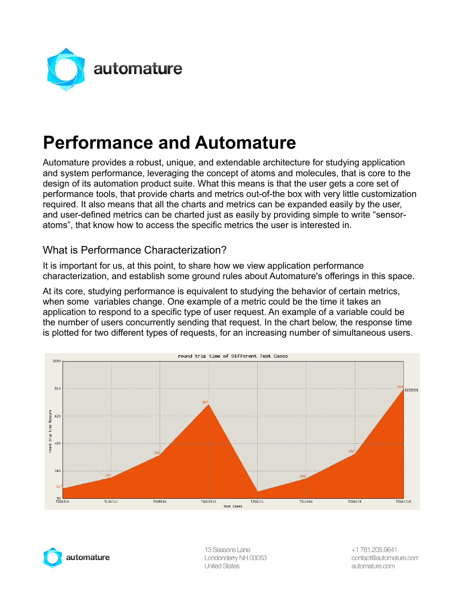

# **Performance and Automature**

Automature provides a robust, unique, and extendable architecture for studying application and system performance, leveraging the concept of atoms and molecules, that is core to the design of its automation product suite. What this means is that the user gets a core set of performance tools, that provide charts and metrics out-of-the box with very little customization required. It also means that all the charts and metrics can be expanded easily by the user, and user-defined metrics can be charted just as easily by providing simple to write "sensoratoms", that know how to access the specific metrics the user is interested in.

## What is Performance Characterization?

It is important for us, at this point, to share how we view application performance characterization, and establish some ground rules about Automature's offerings in this space.

At its core, studying performance is equivalent to studying the behavior of certain metrics, when some variables change. One example of a metric could be the time it takes an application to respond to a specific type of user request. An example of a variable could be the number of users concurrently sending that request. In the chart below, the response time is plotted for two different types of requests, for an increasing number of simultaneous users.





13 Seasons Lane Londonderry NH 03053 **United States**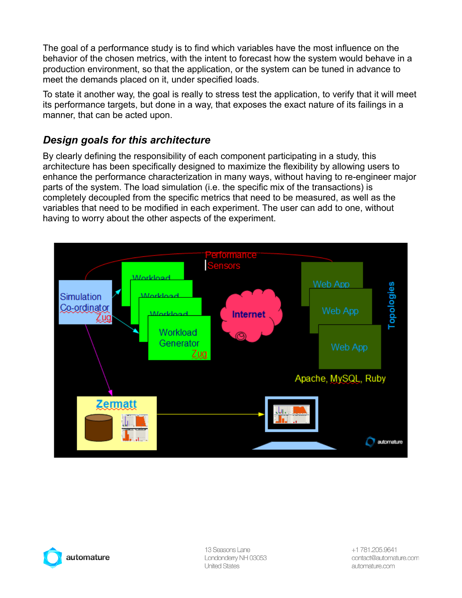The goal of a performance study is to find which variables have the most influence on the behavior of the chosen metrics, with the intent to forecast how the system would behave in a production environment, so that the application, or the system can be tuned in advance to meet the demands placed on it, under specified loads.

To state it another way, the goal is really to stress test the application, to verify that it will meet its performance targets, but done in a way, that exposes the exact nature of its failings in a manner, that can be acted upon.

## *Design goals for this architecture*

By clearly defining the responsibility of each component participating in a study, this architecture has been specifically designed to maximize the flexibility by allowing users to enhance the performance characterization in many ways, without having to re-engineer major parts of the system. The load simulation (i.e. the specific mix of the transactions) is completely decoupled from the specific metrics that need to be measured, as well as the variables that need to be modified in each experiment. The user can add to one, without having to worry about the other aspects of the experiment.





13 Seasons Lane Londonderry NH 03053 **United States** 

+1 781.205.9641 contact@automature.com automature.com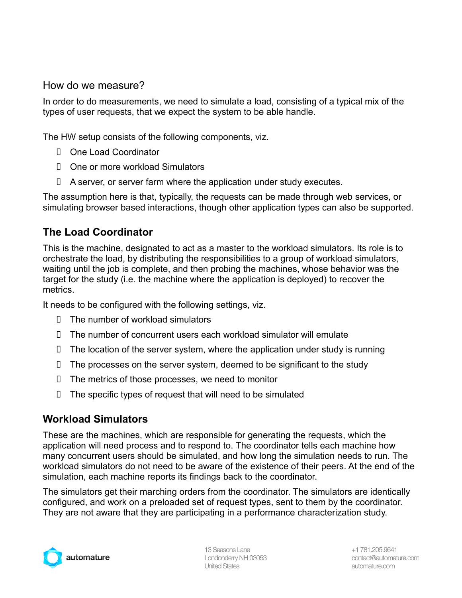#### How do we measure?

In order to do measurements, we need to simulate a load, consisting of a typical mix of the types of user requests, that we expect the system to be able handle.

The HW setup consists of the following components, viz.

- One Load Coordinator
- One or more workload Simulators
- $\Box$  A server, or server farm where the application under study executes.

The assumption here is that, typically, the requests can be made through web services, or simulating browser based interactions, though other application types can also be supported.

#### **The Load Coordinator**

This is the machine, designated to act as a master to the workload simulators. Its role is to orchestrate the load, by distributing the responsibilities to a group of workload simulators, waiting until the job is complete, and then probing the machines, whose behavior was the target for the study (i.e. the machine where the application is deployed) to recover the metrics.

It needs to be configured with the following settings, viz.

- $\Box$  The number of workload simulators
- The number of concurrent users each workload simulator will emulate
- $\Box$  The location of the server system, where the application under study is running
- $\Box$  The processes on the server system, deemed to be significant to the study
- $\Box$  The metrics of those processes, we need to monitor
- $\Box$  The specific types of request that will need to be simulated

#### **Workload Simulators**

These are the machines, which are responsible for generating the requests, which the application will need process and to respond to. The coordinator tells each machine how many concurrent users should be simulated, and how long the simulation needs to run. The workload simulators do not need to be aware of the existence of their peers. At the end of the simulation, each machine reports its findings back to the coordinator.

The simulators get their marching orders from the coordinator. The simulators are identically configured, and work on a preloaded set of request types, sent to them by the coordinator. They are not aware that they are participating in a performance characterization study.



13 Seasons Lane Londonderry NH 03053 **United States**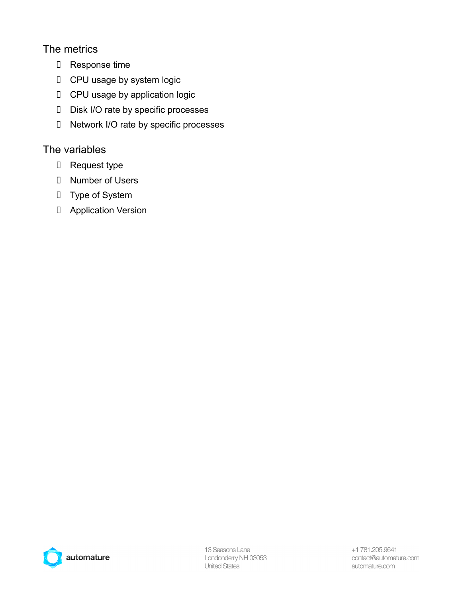## The metrics

- **I** Response time
- **I** CPU usage by system logic
- **I** CPU usage by application logic
- D Disk I/O rate by specific processes
- Network I/O rate by specific processes

#### The variables

- **I** Request type
- Number of Users
- **I** Type of System
- **I** Application Version

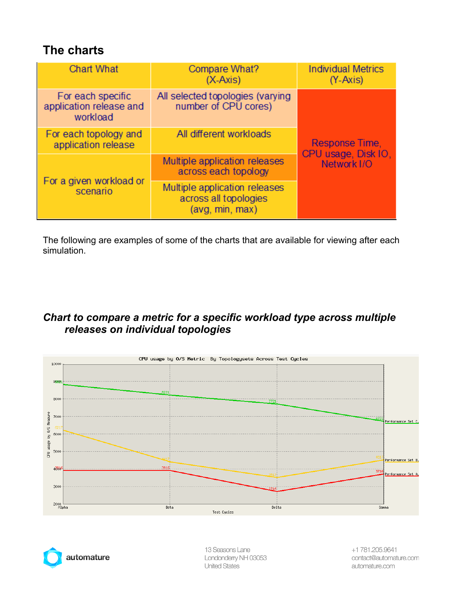## **The charts**

| <b>Chart What</b>                                        | Compare What?<br>$(X-Axis)$                                               | <b>Individual Metrics</b><br>$(Y-Axis)$              |
|----------------------------------------------------------|---------------------------------------------------------------------------|------------------------------------------------------|
| For each specific<br>application release and<br>workload | All selected topologies (varying<br>number of CPU cores)                  | Response Time,<br>CPU usage, Disk IO,<br>Network I/O |
| For each topology and<br>application release             | All different workloads                                                   |                                                      |
| For a given workload or<br>scenario                      | Multiple application releases<br>across each topology                     |                                                      |
|                                                          | Multiple application releases<br>across all topologies<br>(avg, min, max) |                                                      |

The following are examples of some of the charts that are available for viewing after each simulation.

## *Chart to compare a metric for a specific workload type across multiple releases on individual topologies*





13 Seasons Lane Londonderry NH 03053 **United States**